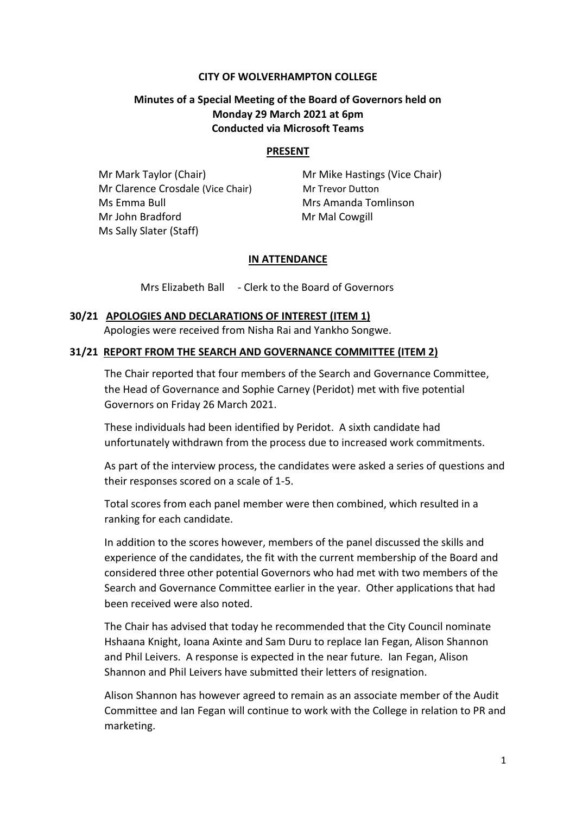## **CITY OF WOLVERHAMPTON COLLEGE**

# **Minutes of a Special Meeting of the Board of Governors held on Monday 29 March 2021 at 6pm Conducted via Microsoft Teams**

### **PRESENT**

**Mr Mark Taylor (Chair)** Mr Mike Hastings (Vice Chair) Mr Clarence Crosdale (Vice Chair) Mr Trevor Dutton Ms Emma Bull Mrs Amanda Tomlinson Mr John Bradford Mr Mal Cowgill Ms Sally Slater (Staff)

### **IN ATTENDANCE**

Mrs Elizabeth Ball - Clerk to the Board of Governors

## **30/21 APOLOGIES AND DECLARATIONS OF INTEREST (ITEM 1)**

Apologies were received from Nisha Rai and Yankho Songwe.

### **31/21 REPORT FROM THE SEARCH AND GOVERNANCE COMMITTEE (ITEM 2)**

The Chair reported that four members of the Search and Governance Committee, the Head of Governance and Sophie Carney (Peridot) met with five potential Governors on Friday 26 March 2021.

These individuals had been identified by Peridot. A sixth candidate had unfortunately withdrawn from the process due to increased work commitments.

As part of the interview process, the candidates were asked a series of questions and their responses scored on a scale of 1-5.

Total scores from each panel member were then combined, which resulted in a ranking for each candidate.

In addition to the scores however, members of the panel discussed the skills and experience of the candidates, the fit with the current membership of the Board and considered three other potential Governors who had met with two members of the Search and Governance Committee earlier in the year. Other applications that had been received were also noted.

The Chair has advised that today he recommended that the City Council nominate Hshaana Knight, Ioana Axinte and Sam Duru to replace Ian Fegan, Alison Shannon and Phil Leivers. A response is expected in the near future. Ian Fegan, Alison Shannon and Phil Leivers have submitted their letters of resignation.

Alison Shannon has however agreed to remain as an associate member of the Audit Committee and Ian Fegan will continue to work with the College in relation to PR and marketing.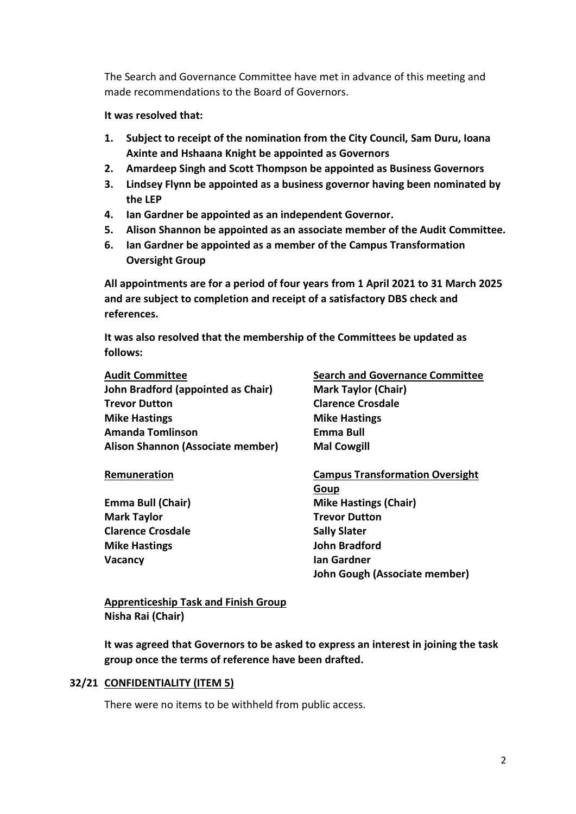The Search and Governance Committee have met in advance of this meeting and made recommendations to the Board of Governors.

## **It was resolved that:**

- **1. Subject to receipt of the nomination from the City Council, Sam Duru, Ioana Axinte and Hshaana Knight be appointed as Governors**
- **2. Amardeep Singh and Scott Thompson be appointed as Business Governors**
- **3. Lindsey Flynn be appointed as a business governor having been nominated by the LEP**
- **4. Ian Gardner be appointed as an independent Governor.**
- **5. Alison Shannon be appointed as an associate member of the Audit Committee.**
- **6. Ian Gardner be appointed as a member of the Campus Transformation Oversight Group**

**All appointments are for a period of four years from 1 April 2021 to 31 March 2025 and are subject to completion and receipt of a satisfactory DBS check and references.**

**It was also resolved that the membership of the Committees be updated as follows:**

# **Audit Committee Search and Governance Committee John Bradford (appointed as Chair) Mark Taylor (Chair) Trevor Dutton Clarence Crosdale Mike Hastings Mike Hastings Amanda Tomlinson Emma Bull Alison Shannon (Associate member) Mal Cowgill**

**Mark Taylor Trevor Dutton Clarence Crosdale Sally Slater Sally Slater Mike Hastings John Bradford Vacancy Ian Gardner**

**Remuneration Campus Transformation Oversight Goup Emma Bull (Chair) Mike Hastings (Chair) John Gough (Associate member)**

# **Apprenticeship Task and Finish Group Nisha Rai (Chair)**

**It was agreed that Governors to be asked to express an interest in joining the task group once the terms of reference have been drafted.**

# **32/21 CONFIDENTIALITY (ITEM 5)**

There were no items to be withheld from public access.